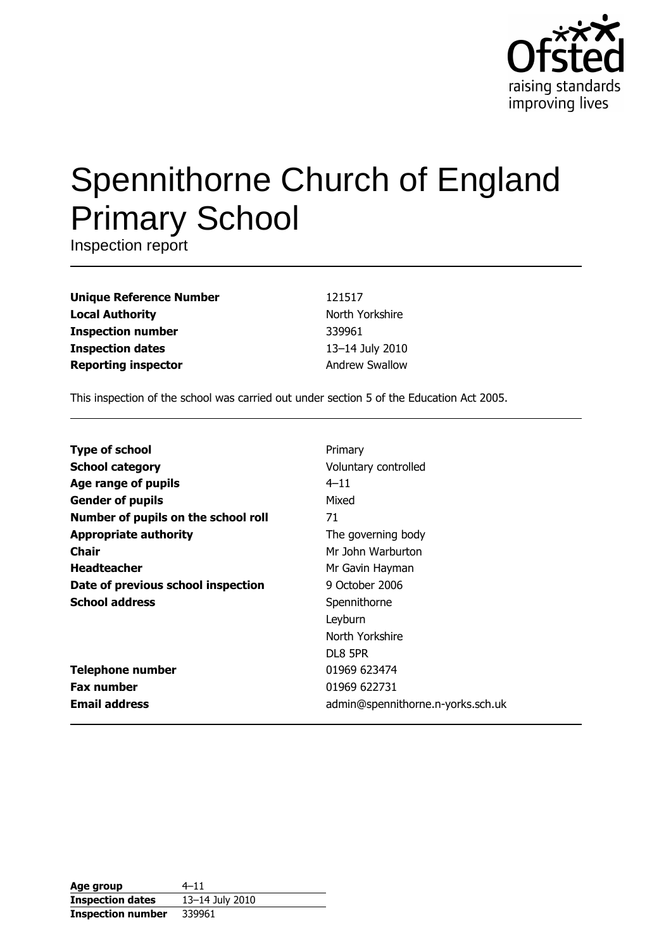

# **Spennithorne Church of England Primary School**

Inspection report

**Unique Reference Number Local Authority Inspection number Inspection dates Reporting inspector** 

121517 North Yorkshire 339961 13-14 July 2010 **Andrew Swallow** 

This inspection of the school was carried out under section 5 of the Education Act 2005.

| <b>Type of school</b>               | Primary                           |
|-------------------------------------|-----------------------------------|
| <b>School category</b>              | Voluntary controlled              |
| Age range of pupils                 | $4 - 11$                          |
| <b>Gender of pupils</b>             | Mixed                             |
| Number of pupils on the school roll | 71                                |
| <b>Appropriate authority</b>        | The governing body                |
| <b>Chair</b>                        | Mr John Warburton                 |
| <b>Headteacher</b>                  | Mr Gavin Hayman                   |
| Date of previous school inspection  | 9 October 2006                    |
| <b>School address</b>               | Spennithorne                      |
|                                     | Leyburn                           |
|                                     | North Yorkshire                   |
|                                     | DL8 5PR                           |
| <b>Telephone number</b>             | 01969 623474                      |
| <b>Fax number</b>                   | 01969 622731                      |
| <b>Email address</b>                | admin@spennithorne.n-yorks.sch.uk |

| Age group                | $4 - 11$        |
|--------------------------|-----------------|
| <b>Inspection dates</b>  | 13-14 July 2010 |
| <b>Inspection number</b> | 339961          |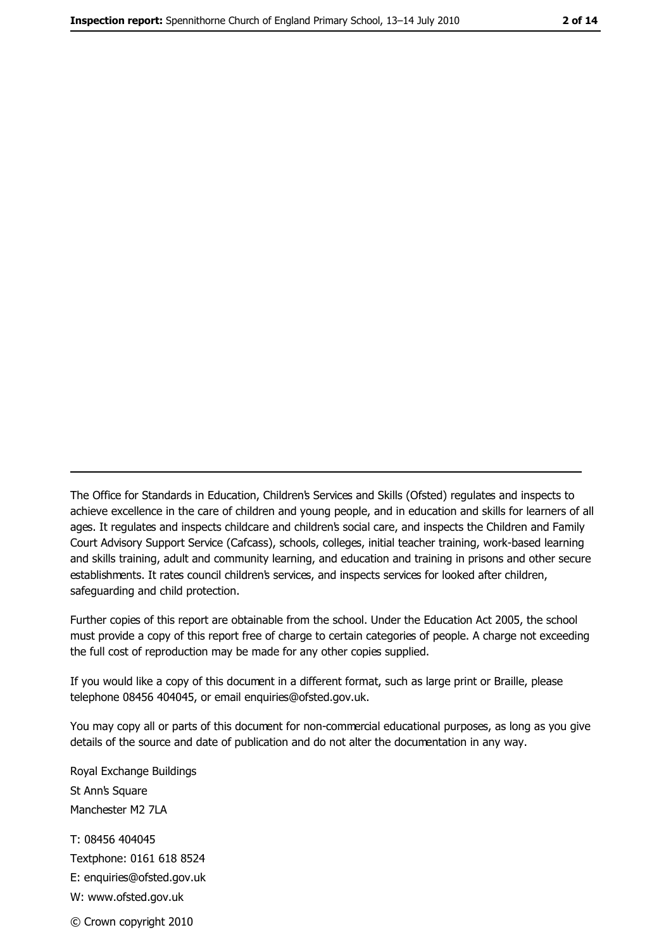The Office for Standards in Education, Children's Services and Skills (Ofsted) regulates and inspects to achieve excellence in the care of children and young people, and in education and skills for learners of all ages. It regulates and inspects childcare and children's social care, and inspects the Children and Family Court Advisory Support Service (Cafcass), schools, colleges, initial teacher training, work-based learning and skills training, adult and community learning, and education and training in prisons and other secure establishments. It rates council children's services, and inspects services for looked after children, safeguarding and child protection.

Further copies of this report are obtainable from the school. Under the Education Act 2005, the school must provide a copy of this report free of charge to certain categories of people. A charge not exceeding the full cost of reproduction may be made for any other copies supplied.

If you would like a copy of this document in a different format, such as large print or Braille, please telephone 08456 404045, or email enquiries@ofsted.gov.uk.

You may copy all or parts of this document for non-commercial educational purposes, as long as you give details of the source and date of publication and do not alter the documentation in any way.

Royal Exchange Buildings St Ann's Square Manchester M2 7LA T: 08456 404045 Textphone: 0161 618 8524 E: enquiries@ofsted.gov.uk W: www.ofsted.gov.uk © Crown copyright 2010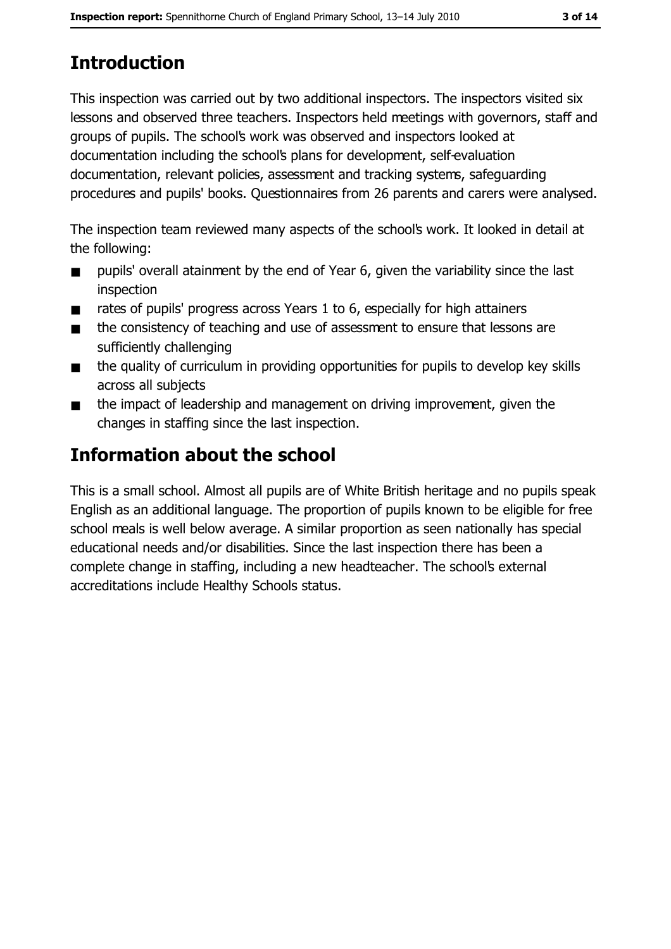# **Introduction**

This inspection was carried out by two additional inspectors. The inspectors visited six lessons and observed three teachers. Inspectors held meetings with governors, staff and groups of pupils. The school's work was observed and inspectors looked at documentation including the school's plans for development, self-evaluation documentation, relevant policies, assessment and tracking systems, safeguarding procedures and pupils' books. Questionnaires from 26 parents and carers were analysed.

The inspection team reviewed many aspects of the school's work. It looked in detail at the following:

- pupils' overall atainment by the end of Year 6, given the variability since the last  $\blacksquare$ inspection
- rates of pupils' progress across Years 1 to 6, especially for high attainers  $\blacksquare$
- the consistency of teaching and use of assessment to ensure that lessons are  $\blacksquare$ sufficiently challenging
- the quality of curriculum in providing opportunities for pupils to develop key skills  $\blacksquare$ across all subjects
- the impact of leadership and management on driving improvement, given the  $\blacksquare$ changes in staffing since the last inspection.

# Information about the school

This is a small school. Almost all pupils are of White British heritage and no pupils speak English as an additional language. The proportion of pupils known to be eligible for free school meals is well below average. A similar proportion as seen nationally has special educational needs and/or disabilities. Since the last inspection there has been a complete change in staffing, including a new headteacher. The school's external accreditations include Healthy Schools status.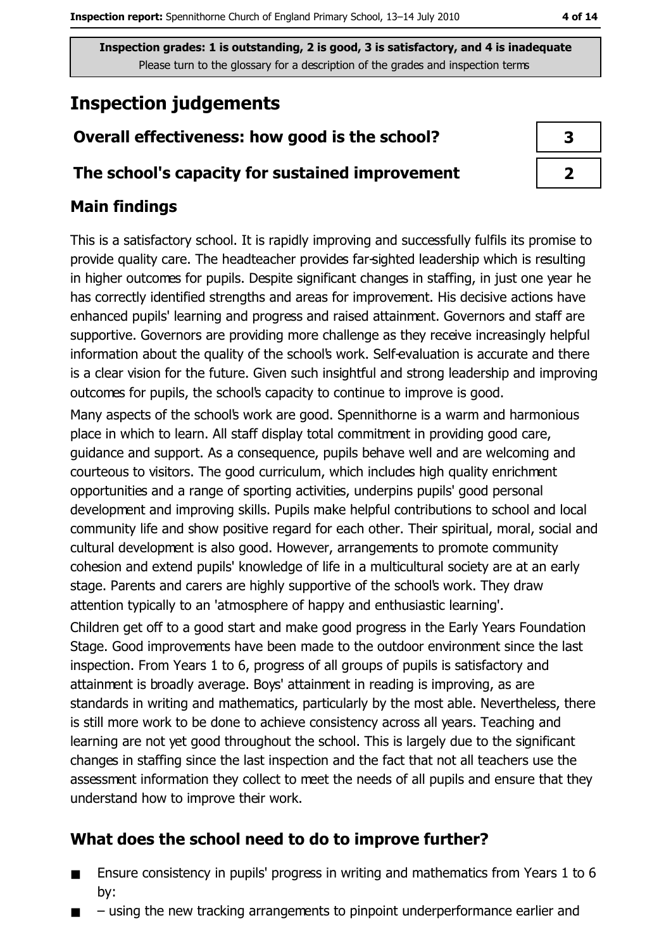# **Inspection judgements**

## Overall effectiveness: how good is the school?

#### The school's capacity for sustained improvement

#### **Main findings**

This is a satisfactory school. It is rapidly improving and successfully fulfils its promise to provide quality care. The headteacher provides far-sighted leadership which is resulting in higher outcomes for pupils. Despite significant changes in staffing, in just one year he has correctly identified strengths and areas for improvement. His decisive actions have enhanced pupils' learning and progress and raised attainment. Governors and staff are supportive. Governors are providing more challenge as they receive increasingly helpful information about the quality of the school's work. Self-evaluation is accurate and there is a clear vision for the future. Given such insightful and strong leadership and improving outcomes for pupils, the school's capacity to continue to improve is good.

Many aspects of the school's work are good. Spennithorne is a warm and harmonious place in which to learn. All staff display total commitment in providing good care, guidance and support. As a consequence, pupils behave well and are welcoming and courteous to visitors. The good curriculum, which includes high quality enrichment opportunities and a range of sporting activities, underpins pupils' good personal development and improving skills. Pupils make helpful contributions to school and local community life and show positive regard for each other. Their spiritual, moral, social and cultural development is also good. However, arrangements to promote community cohesion and extend pupils' knowledge of life in a multicultural society are at an early stage. Parents and carers are highly supportive of the school's work. They draw attention typically to an 'atmosphere of happy and enthusiastic learning'.

Children get off to a good start and make good progress in the Early Years Foundation Stage. Good improvements have been made to the outdoor environment since the last inspection. From Years 1 to 6, progress of all groups of pupils is satisfactory and attainment is broadly average. Boys' attainment in reading is improving, as are standards in writing and mathematics, particularly by the most able. Nevertheless, there is still more work to be done to achieve consistency across all years. Teaching and learning are not yet good throughout the school. This is largely due to the significant changes in staffing since the last inspection and the fact that not all teachers use the assessment information they collect to meet the needs of all pupils and ensure that they understand how to improve their work.

## What does the school need to do to improve further?

- Ensure consistency in pupils' progress in writing and mathematics from Years 1 to 6  $\blacksquare$ bv:
- using the new tracking arrangements to pinpoint underperformance earlier and

| 3 |
|---|
|   |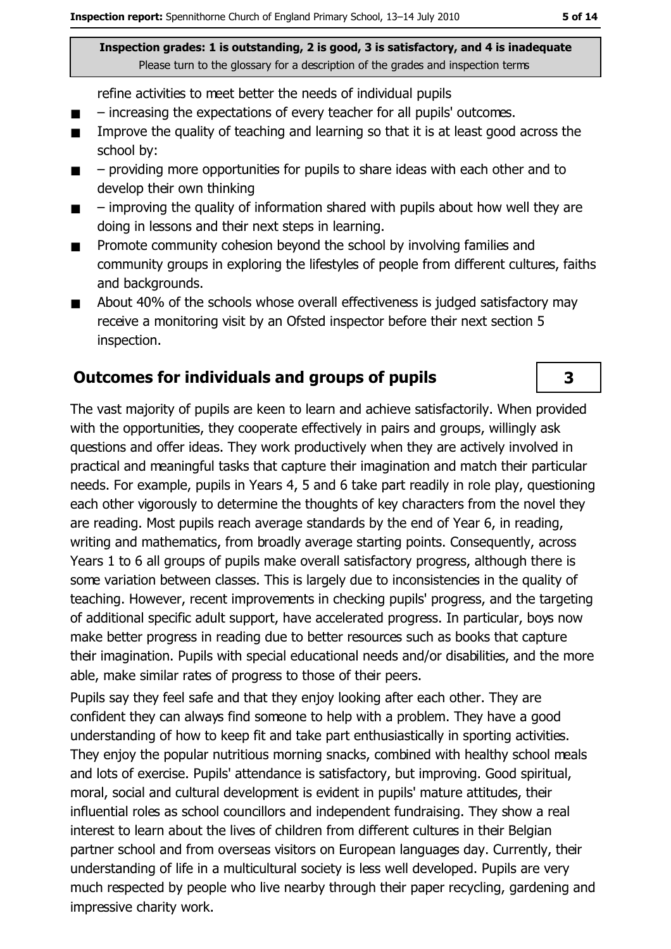refine activities to meet better the needs of individual pupils

- increasing the expectations of every teacher for all pupils' outcomes.  $\blacksquare$
- Improve the quality of teaching and learning so that it is at least good across the  $\blacksquare$ school by:
- $\blacksquare$ - providing more opportunities for pupils to share ideas with each other and to develop their own thinking
- improving the quality of information shared with pupils about how well they are  $\blacksquare$ doing in lessons and their next steps in learning.
- Promote community cohesion beyond the school by involving families and  $\blacksquare$ community groups in exploring the lifestyles of people from different cultures, faiths and backgrounds.
- About 40% of the schools whose overall effectiveness is judged satisfactory may  $\blacksquare$ receive a monitoring visit by an Ofsted inspector before their next section 5 inspection.

#### Outcomes for individuals and groups of pupils

The vast majority of pupils are keen to learn and achieve satisfactorily. When provided with the opportunities, they cooperate effectively in pairs and groups, willingly ask questions and offer ideas. They work productively when they are actively involved in practical and meaningful tasks that capture their imagination and match their particular needs. For example, pupils in Years 4, 5 and 6 take part readily in role play, questioning each other vigorously to determine the thoughts of key characters from the novel they are reading. Most pupils reach average standards by the end of Year 6, in reading, writing and mathematics, from broadly average starting points. Consequently, across Years 1 to 6 all groups of pupils make overall satisfactory progress, although there is some variation between classes. This is largely due to inconsistencies in the quality of teaching. However, recent improvements in checking pupils' progress, and the targeting of additional specific adult support, have accelerated progress. In particular, boys now make better progress in reading due to better resources such as books that capture their imagination. Pupils with special educational needs and/or disabilities, and the more able, make similar rates of progress to those of their peers.

Pupils say they feel safe and that they enioy looking after each other. They are confident they can always find someone to help with a problem. They have a good understanding of how to keep fit and take part enthusiastically in sporting activities. They enjoy the popular nutritious morning snacks, combined with healthy school meals and lots of exercise. Pupils' attendance is satisfactory, but improving. Good spiritual, moral, social and cultural development is evident in pupils' mature attitudes, their influential roles as school councillors and independent fundraising. They show a real interest to learn about the lives of children from different cultures in their Belgian partner school and from overseas visitors on European languages day, Currently, their understanding of life in a multicultural society is less well developed. Pupils are very much respected by people who live nearby through their paper recycling, gardening and impressive charity work.

 $\overline{\mathbf{3}}$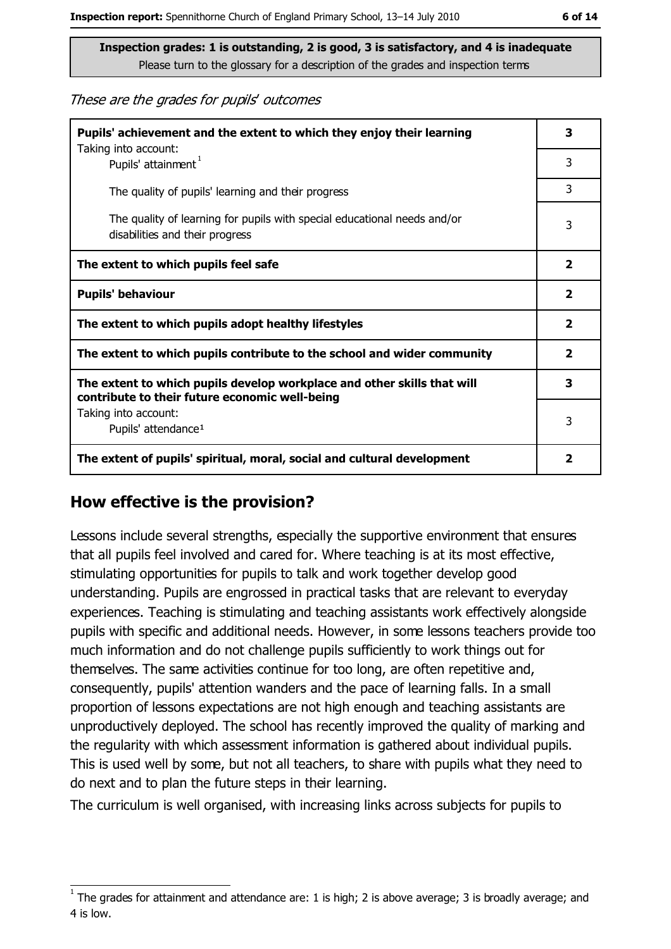These are the grades for pupils' outcomes

| Pupils' achievement and the extent to which they enjoy their learning                                                     |                         |
|---------------------------------------------------------------------------------------------------------------------------|-------------------------|
| Taking into account:<br>Pupils' attainment <sup>1</sup>                                                                   | 3                       |
| The quality of pupils' learning and their progress                                                                        | 3                       |
| The quality of learning for pupils with special educational needs and/or<br>disabilities and their progress               | 3                       |
| The extent to which pupils feel safe                                                                                      |                         |
| <b>Pupils' behaviour</b>                                                                                                  |                         |
| The extent to which pupils adopt healthy lifestyles                                                                       |                         |
| The extent to which pupils contribute to the school and wider community                                                   |                         |
| The extent to which pupils develop workplace and other skills that will<br>contribute to their future economic well-being |                         |
| Taking into account:<br>Pupils' attendance <sup>1</sup>                                                                   | 3                       |
| The extent of pupils' spiritual, moral, social and cultural development                                                   | $\overline{\mathbf{2}}$ |

#### How effective is the provision?

Lessons include several strengths, especially the supportive environment that ensures that all pupils feel involved and cared for. Where teaching is at its most effective, stimulating opportunities for pupils to talk and work together develop good understanding. Pupils are engrossed in practical tasks that are relevant to everyday experiences. Teaching is stimulating and teaching assistants work effectively alongside pupils with specific and additional needs. However, in some lessons teachers provide too much information and do not challenge pupils sufficiently to work things out for themselves. The same activities continue for too long, are often repetitive and, consequently, pupils' attention wanders and the pace of learning falls. In a small proportion of lessons expectations are not high enough and teaching assistants are unproductively deployed. The school has recently improved the quality of marking and the regularity with which assessment information is gathered about individual pupils. This is used well by some, but not all teachers, to share with pupils what they need to do next and to plan the future steps in their learning.

The curriculum is well organised, with increasing links across subjects for pupils to

The grades for attainment and attendance are: 1 is high; 2 is above average; 3 is broadly average; and 4 is low.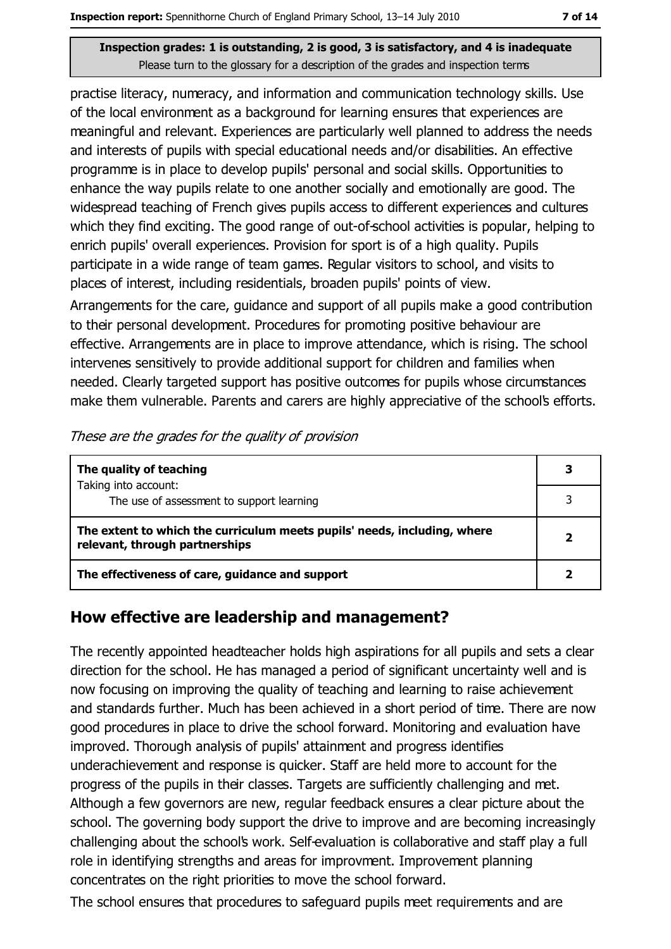practise literacy, numeracy, and information and communication technology skills. Use of the local environment as a background for learning ensures that experiences are meaningful and relevant. Experiences are particularly well planned to address the needs and interests of pupils with special educational needs and/or disabilities. An effective programme is in place to develop pupils' personal and social skills. Opportunities to enhance the way pupils relate to one another socially and emotionally are good. The widespread teaching of French gives pupils access to different experiences and cultures which they find exciting. The good range of out-of-school activities is popular, helping to enrich pupils' overall experiences. Provision for sport is of a high quality. Pupils participate in a wide range of team games. Regular visitors to school, and visits to places of interest, including residentials, broaden pupils' points of view.

Arrangements for the care, guidance and support of all pupils make a good contribution to their personal development. Procedures for promoting positive behaviour are effective. Arrangements are in place to improve attendance, which is rising. The school intervenes sensitively to provide additional support for children and families when needed. Clearly targeted support has positive outcomes for pupils whose circumstances make them vulnerable. Parents and carers are highly appreciative of the school's efforts.

| These are the grades for the quality of provision |  |  |
|---------------------------------------------------|--|--|
|                                                   |  |  |

| The quality of teaching                                                                                    |  |
|------------------------------------------------------------------------------------------------------------|--|
| Taking into account:<br>The use of assessment to support learning                                          |  |
| The extent to which the curriculum meets pupils' needs, including, where<br>relevant, through partnerships |  |
| The effectiveness of care, guidance and support                                                            |  |

#### How effective are leadership and management?

The recently appointed headteacher holds high aspirations for all pupils and sets a clear direction for the school. He has managed a period of significant uncertainty well and is now focusing on improving the quality of teaching and learning to raise achievement and standards further. Much has been achieved in a short period of time. There are now good procedures in place to drive the school forward. Monitoring and evaluation have improved. Thorough analysis of pupils' attainment and progress identifies underachievement and response is quicker. Staff are held more to account for the progress of the pupils in their classes. Targets are sufficiently challenging and met. Although a few governors are new, regular feedback ensures a clear picture about the school. The governing body support the drive to improve and are becoming increasingly challenging about the school's work. Self-evaluation is collaborative and staff play a full role in identifying strengths and areas for improvment. Improvement planning concentrates on the right priorities to move the school forward.

The school ensures that procedures to safeguard pupils meet requirements and are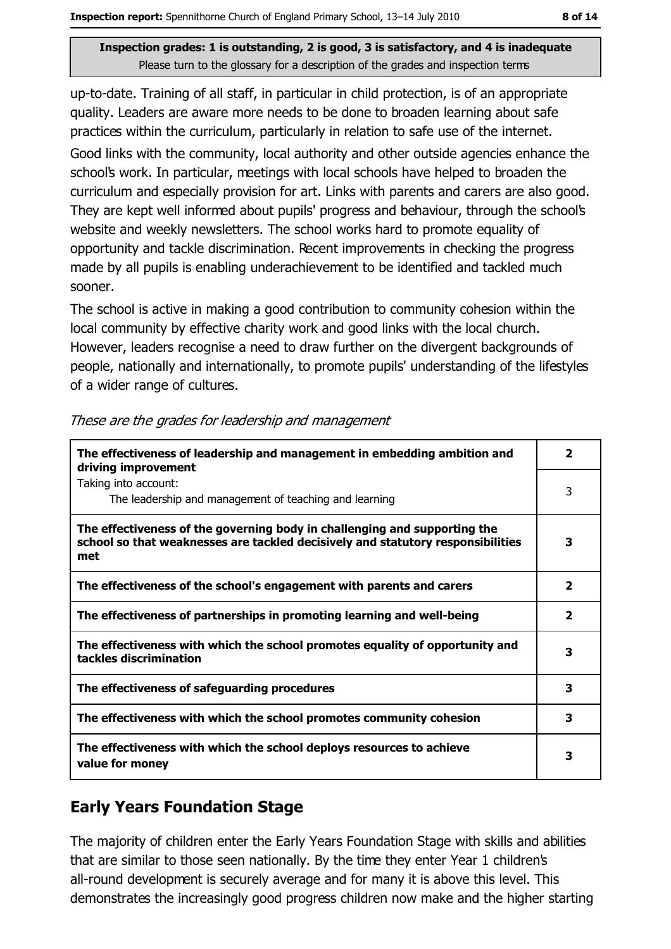up-to-date. Training of all staff, in particular in child protection, is of an appropriate quality. Leaders are aware more needs to be done to broaden learning about safe practices within the curriculum, particularly in relation to safe use of the internet.

Good links with the community, local authority and other outside agencies enhance the school's work. In particular, meetings with local schools have helped to broaden the curriculum and especially provision for art. Links with parents and carers are also good. They are kept well informed about pupils' progress and behaviour, through the school's website and weekly newsletters. The school works hard to promote equality of opportunity and tackle discrimination. Recent improvements in checking the progress made by all pupils is enabling underachievement to be identified and tackled much sooner.

The school is active in making a good contribution to community cohesion within the local community by effective charity work and good links with the local church. However, leaders recognise a need to draw further on the divergent backgrounds of people, nationally and internationally, to promote pupils' understanding of the lifestyles of a wider range of cultures.

| The effectiveness of leadership and management in embedding ambition and<br>driving improvement                                                                     | $\overline{\mathbf{2}}$ |
|---------------------------------------------------------------------------------------------------------------------------------------------------------------------|-------------------------|
| Taking into account:<br>The leadership and management of teaching and learning                                                                                      | 3                       |
| The effectiveness of the governing body in challenging and supporting the<br>school so that weaknesses are tackled decisively and statutory responsibilities<br>met | 3                       |
| The effectiveness of the school's engagement with parents and carers                                                                                                | 2                       |
| The effectiveness of partnerships in promoting learning and well-being                                                                                              | $\overline{\mathbf{2}}$ |
| The effectiveness with which the school promotes equality of opportunity and<br>tackles discrimination                                                              | 3                       |
| The effectiveness of safeguarding procedures                                                                                                                        | 3                       |
| The effectiveness with which the school promotes community cohesion                                                                                                 | 3                       |
| The effectiveness with which the school deploys resources to achieve<br>value for money                                                                             | 3                       |

These are the grades for leadership and management

## **Early Years Foundation Stage**

The majority of children enter the Early Years Foundation Stage with skills and abilities that are similar to those seen nationally. By the time they enter Year 1 children's all-round development is securely average and for many it is above this level. This demonstrates the increasingly good progress children now make and the higher starting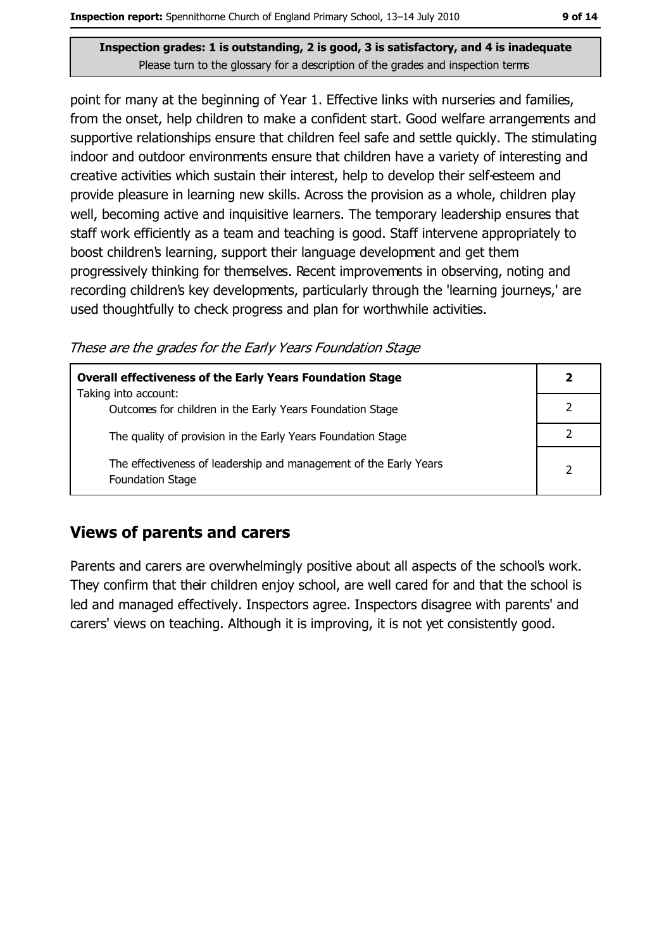point for many at the beginning of Year 1. Effective links with nurseries and families, from the onset, help children to make a confident start. Good welfare arrangements and supportive relationships ensure that children feel safe and settle quickly. The stimulating indoor and outdoor environments ensure that children have a variety of interesting and creative activities which sustain their interest, help to develop their self-esteem and provide pleasure in learning new skills. Across the provision as a whole, children play well, becoming active and inquisitive learners. The temporary leadership ensures that staff work efficiently as a team and teaching is good. Staff intervene appropriately to boost children's learning, support their language development and get them progressively thinking for themselves. Recent improvements in observing, noting and recording children's key developments, particularly through the 'learning journeys,' are used thoughtfully to check progress and plan for worthwhile activities.

These are the grades for the Early Years Foundation Stage

| <b>Overall effectiveness of the Early Years Foundation Stage</b>                             |               |
|----------------------------------------------------------------------------------------------|---------------|
| Taking into account:<br>Outcomes for children in the Early Years Foundation Stage            |               |
| The quality of provision in the Early Years Foundation Stage                                 |               |
| The effectiveness of leadership and management of the Early Years<br><b>Foundation Stage</b> | $\mathcal{P}$ |

#### **Views of parents and carers**

Parents and carers are overwhelmingly positive about all aspects of the school's work. They confirm that their children enjoy school, are well cared for and that the school is led and managed effectively. Inspectors agree. Inspectors disagree with parents' and carers' views on teaching. Although it is improving, it is not yet consistently good.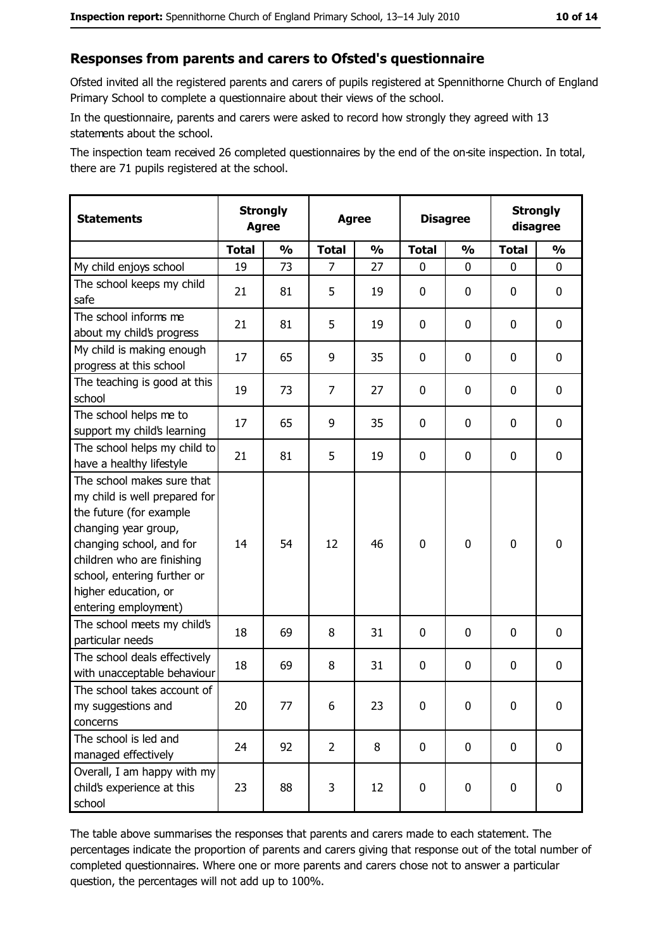#### Responses from parents and carers to Ofsted's questionnaire

Ofsted invited all the registered parents and carers of pupils registered at Spennithorne Church of England Primary School to complete a questionnaire about their views of the school.

In the questionnaire, parents and carers were asked to record how strongly they agreed with 13 statements about the school.

The inspection team received 26 completed questionnaires by the end of the on-site inspection. In total, there are 71 pupils registered at the school.

| <b>Statements</b>                                                                                                                                                                                                                                       | <b>Strongly</b><br><b>Agree</b> |               | <b>Agree</b>   |               | <b>Disagree</b> |               | <b>Strongly</b><br>disagree |               |
|---------------------------------------------------------------------------------------------------------------------------------------------------------------------------------------------------------------------------------------------------------|---------------------------------|---------------|----------------|---------------|-----------------|---------------|-----------------------------|---------------|
|                                                                                                                                                                                                                                                         | <b>Total</b>                    | $\frac{0}{0}$ | <b>Total</b>   | $\frac{0}{0}$ | <b>Total</b>    | $\frac{1}{2}$ | <b>Total</b>                | $\frac{1}{2}$ |
| My child enjoys school                                                                                                                                                                                                                                  | 19                              | 73            | 7              | 27            | 0               | 0             | 0                           | 0             |
| The school keeps my child<br>safe                                                                                                                                                                                                                       | 21                              | 81            | 5              | 19            | $\mathbf 0$     | 0             | 0                           | $\mathbf 0$   |
| The school informs me<br>about my child's progress                                                                                                                                                                                                      | 21                              | 81            | 5              | 19            | $\mathbf 0$     | 0             | 0                           | 0             |
| My child is making enough<br>progress at this school                                                                                                                                                                                                    | 17                              | 65            | 9              | 35            | $\mathbf 0$     | 0             | 0                           | 0             |
| The teaching is good at this<br>school                                                                                                                                                                                                                  | 19                              | 73            | 7              | 27            | 0               | 0             | 0                           | 0             |
| The school helps me to<br>support my child's learning                                                                                                                                                                                                   | 17                              | 65            | 9              | 35            | $\mathbf 0$     | 0             | 0                           | 0             |
| The school helps my child to<br>have a healthy lifestyle                                                                                                                                                                                                | 21                              | 81            | 5              | 19            | $\mathbf 0$     | 0             | 0                           | $\mathbf 0$   |
| The school makes sure that<br>my child is well prepared for<br>the future (for example<br>changing year group,<br>changing school, and for<br>children who are finishing<br>school, entering further or<br>higher education, or<br>entering employment) | 14                              | 54            | 12             | 46            | $\mathbf 0$     | 0             | $\mathbf 0$                 | $\mathbf 0$   |
| The school meets my child's<br>particular needs                                                                                                                                                                                                         | 18                              | 69            | 8              | 31            | $\mathbf 0$     | 0             | 0                           | 0             |
| The school deals effectively<br>with unacceptable behaviour                                                                                                                                                                                             | 18                              | 69            | 8              | 31            | $\mathbf 0$     | 0             | 0                           | 0             |
| The school takes account of<br>my suggestions and<br>concerns                                                                                                                                                                                           | 20                              | 77            | 6              | 23            | $\pmb{0}$       | 0             | 0                           | $\bf{0}$      |
| The school is led and<br>managed effectively                                                                                                                                                                                                            | 24                              | 92            | $\overline{2}$ | 8             | $\mathbf 0$     | $\mathbf 0$   | $\mathbf 0$                 | $\mathbf 0$   |
| Overall, I am happy with my<br>child's experience at this<br>school                                                                                                                                                                                     | 23                              | 88            | 3              | 12            | $\pmb{0}$       | 0             | 0                           | $\mathbf 0$   |

The table above summarises the responses that parents and carers made to each statement. The percentages indicate the proportion of parents and carers giving that response out of the total number of completed questionnaires. Where one or more parents and carers chose not to answer a particular question, the percentages will not add up to 100%.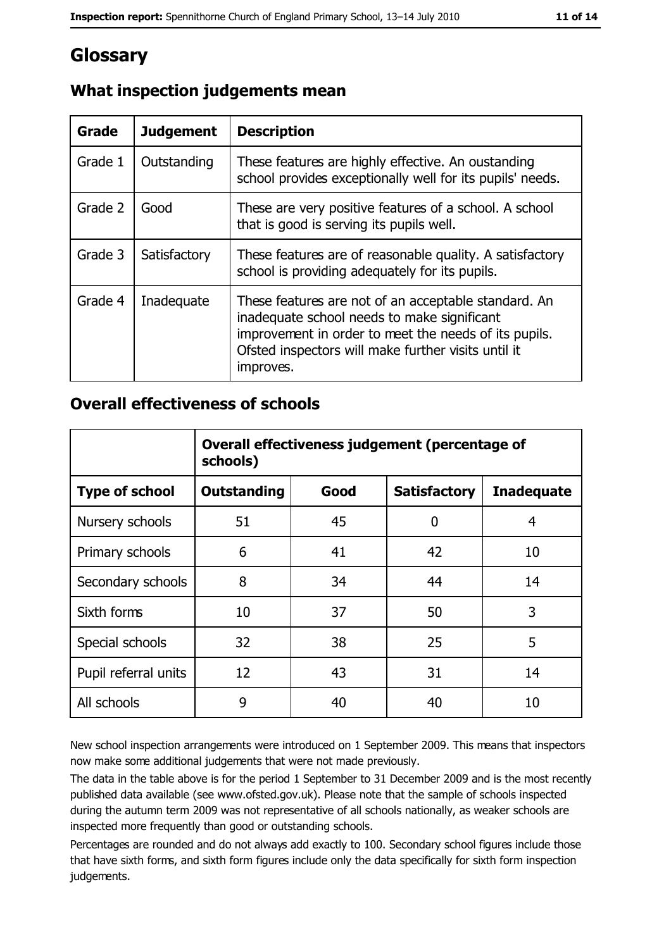# Glossary

| <b>Grade</b> | <b>Judgement</b> | <b>Description</b>                                                                                                                                                                                                               |
|--------------|------------------|----------------------------------------------------------------------------------------------------------------------------------------------------------------------------------------------------------------------------------|
| Grade 1      | Outstanding      | These features are highly effective. An oustanding<br>school provides exceptionally well for its pupils' needs.                                                                                                                  |
| Grade 2      | Good             | These are very positive features of a school. A school<br>that is good is serving its pupils well.                                                                                                                               |
| Grade 3      | Satisfactory     | These features are of reasonable quality. A satisfactory<br>school is providing adequately for its pupils.                                                                                                                       |
| Grade 4      | Inadequate       | These features are not of an acceptable standard. An<br>inadequate school needs to make significant<br>improvement in order to meet the needs of its pupils.<br>Ofsted inspectors will make further visits until it<br>improves. |

## What inspection judgements mean

#### **Overall effectiveness of schools**

|                       | Overall effectiveness judgement (percentage of<br>schools) |      |                     |                   |
|-----------------------|------------------------------------------------------------|------|---------------------|-------------------|
| <b>Type of school</b> | <b>Outstanding</b>                                         | Good | <b>Satisfactory</b> | <b>Inadequate</b> |
| Nursery schools       | 51                                                         | 45   | 0                   | 4                 |
| Primary schools       | 6                                                          | 41   | 42                  | 10                |
| Secondary schools     | 8                                                          | 34   | 44                  | 14                |
| Sixth forms           | 10                                                         | 37   | 50                  | 3                 |
| Special schools       | 32                                                         | 38   | 25                  | 5                 |
| Pupil referral units  | 12                                                         | 43   | 31                  | 14                |
| All schools           | 9                                                          | 40   | 40                  | 10                |

New school inspection arrangements were introduced on 1 September 2009. This means that inspectors now make some additional judgements that were not made previously.

The data in the table above is for the period 1 September to 31 December 2009 and is the most recently published data available (see www.ofsted.gov.uk). Please note that the sample of schools inspected during the autumn term 2009 was not representative of all schools nationally, as weaker schools are inspected more frequently than good or outstanding schools.

Percentages are rounded and do not always add exactly to 100. Secondary school figures include those that have sixth forms, and sixth form figures include only the data specifically for sixth form inspection judgements.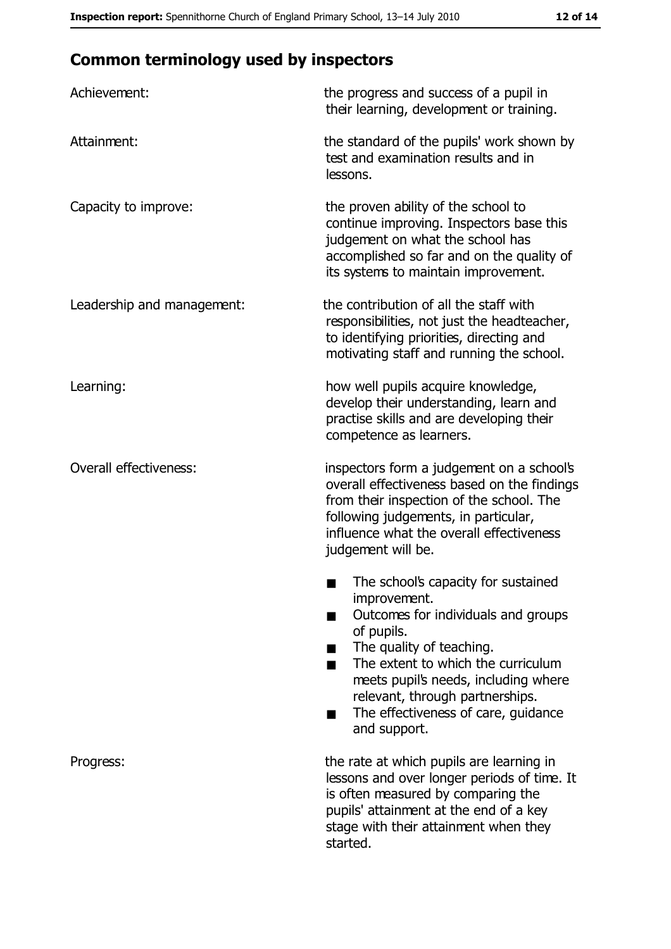# **Common terminology used by inspectors**

| Achievement:                  | the progress and success of a pupil in<br>their learning, development or training.                                                                                                                                                                                                                           |
|-------------------------------|--------------------------------------------------------------------------------------------------------------------------------------------------------------------------------------------------------------------------------------------------------------------------------------------------------------|
| Attainment:                   | the standard of the pupils' work shown by<br>test and examination results and in<br>lessons.                                                                                                                                                                                                                 |
| Capacity to improve:          | the proven ability of the school to<br>continue improving. Inspectors base this<br>judgement on what the school has<br>accomplished so far and on the quality of<br>its systems to maintain improvement.                                                                                                     |
| Leadership and management:    | the contribution of all the staff with<br>responsibilities, not just the headteacher,<br>to identifying priorities, directing and<br>motivating staff and running the school.                                                                                                                                |
| Learning:                     | how well pupils acquire knowledge,<br>develop their understanding, learn and<br>practise skills and are developing their<br>competence as learners.                                                                                                                                                          |
| <b>Overall effectiveness:</b> | inspectors form a judgement on a school's<br>overall effectiveness based on the findings<br>from their inspection of the school. The<br>following judgements, in particular,<br>influence what the overall effectiveness<br>judgement will be.                                                               |
|                               | The school's capacity for sustained<br>improvement.<br>Outcomes for individuals and groups<br>of pupils.<br>The quality of teaching.<br>The extent to which the curriculum<br>meets pupil's needs, including where<br>relevant, through partnerships.<br>The effectiveness of care, guidance<br>and support. |
| Progress:                     | the rate at which pupils are learning in<br>lessons and over longer periods of time. It<br>is often measured by comparing the<br>pupils' attainment at the end of a key<br>stage with their attainment when they<br>started.                                                                                 |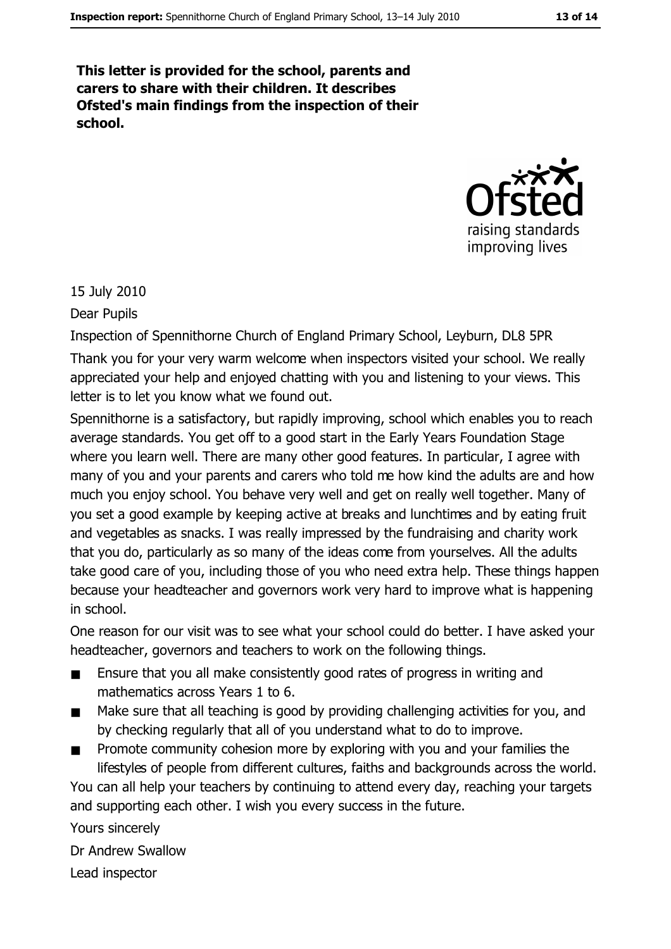This letter is provided for the school, parents and carers to share with their children. It describes Ofsted's main findings from the inspection of their school.



15 July 2010

Dear Pupils

Inspection of Spennithorne Church of England Primary School, Leyburn, DL8 5PR Thank you for your very warm welcome when inspectors visited your school. We really appreciated your help and enjoyed chatting with you and listening to your views. This letter is to let you know what we found out.

Spennithorne is a satisfactory, but rapidly improving, school which enables you to reach average standards. You get off to a good start in the Early Years Foundation Stage where you learn well. There are many other good features. In particular, I agree with many of you and your parents and carers who told me how kind the adults are and how much you enjoy school. You behave very well and get on really well together. Many of you set a good example by keeping active at breaks and lunchtimes and by eating fruit and vegetables as snacks. I was really impressed by the fundraising and charity work that you do, particularly as so many of the ideas come from yourselves. All the adults take good care of you, including those of you who need extra help. These things happen because your headteacher and governors work very hard to improve what is happening in school.

One reason for our visit was to see what your school could do better. I have asked your headteacher, governors and teachers to work on the following things.

- Ensure that you all make consistently good rates of progress in writing and mathematics across Years 1 to 6.
- Make sure that all teaching is good by providing challenging activities for you, and  $\blacksquare$ by checking regularly that all of you understand what to do to improve.
- Promote community cohesion more by exploring with you and your families the lifestyles of people from different cultures, faiths and backgrounds across the world.

You can all help your teachers by continuing to attend every day, reaching your targets and supporting each other. I wish you every success in the future.

Yours sincerely Dr Andrew Swallow Lead inspector